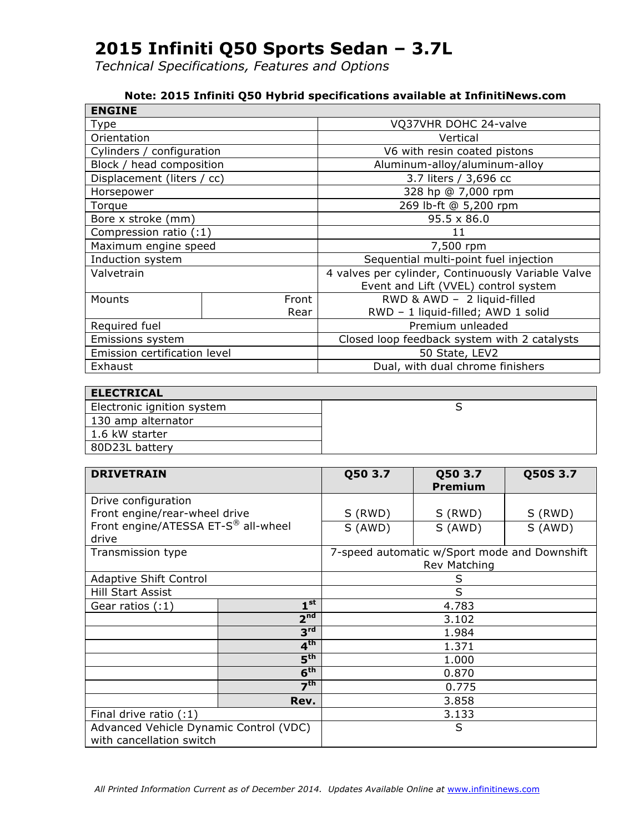*Technical Specifications, Features and Options*

#### **Note: 2015 Infiniti Q50 Hybrid specifications available at InfinitiNews.com**

| <b>ENGINE</b>                |       |                                                    |  |
|------------------------------|-------|----------------------------------------------------|--|
| Type                         |       | VQ37VHR DOHC 24-valve                              |  |
| Orientation                  |       | Vertical                                           |  |
| Cylinders / configuration    |       | V6 with resin coated pistons                       |  |
| Block / head composition     |       | Aluminum-alloy/aluminum-alloy                      |  |
| Displacement (liters / cc)   |       | 3.7 liters / 3,696 cc                              |  |
| Horsepower                   |       | 328 hp @ 7,000 rpm                                 |  |
| Torque                       |       | 269 lb-ft @ 5,200 rpm                              |  |
| Bore x stroke (mm)           |       | $95.5 \times 86.0$                                 |  |
| Compression ratio (:1)       |       | 11                                                 |  |
| Maximum engine speed         |       | 7,500 rpm                                          |  |
| Induction system             |       | Sequential multi-point fuel injection              |  |
| Valvetrain                   |       | 4 valves per cylinder, Continuously Variable Valve |  |
|                              |       | Event and Lift (VVEL) control system               |  |
| Mounts                       | Front | RWD & AWD - 2 liquid-filled                        |  |
| Rear                         |       | RWD - 1 liquid-filled; AWD 1 solid                 |  |
| Required fuel                |       | Premium unleaded                                   |  |
| Emissions system             |       | Closed loop feedback system with 2 catalysts       |  |
| Emission certification level |       | 50 State, LEV2                                     |  |
| Exhaust                      |       | Dual, with dual chrome finishers                   |  |

| <b>ELECTRICAL</b>          |  |
|----------------------------|--|
| Electronic ignition system |  |
| 130 amp alternator         |  |
| 1.6 kW starter             |  |
| 80D23L battery             |  |

| <b>DRIVETRAIN</b>                                                  |                 | Q50 3.7 | Q50 3.7<br>Premium                                           | Q50S 3.7 |
|--------------------------------------------------------------------|-----------------|---------|--------------------------------------------------------------|----------|
| Drive configuration                                                |                 |         |                                                              |          |
| Front engine/rear-wheel drive                                      |                 | S (RWD) | S (RWD)                                                      | S (RWD)  |
| Front engine/ATESSA ET-S® all-wheel<br>drive                       |                 | S (AWD) | S (AWD)                                                      | S (AWD)  |
| Transmission type                                                  |                 |         | 7-speed automatic w/Sport mode and Downshift<br>Rev Matching |          |
| <b>Adaptive Shift Control</b>                                      |                 |         | S                                                            |          |
| Hill Start Assist                                                  |                 | S       |                                                              |          |
| Gear ratios (:1)                                                   | $1^{\rm st}$    |         | 4.783                                                        |          |
|                                                                    | 2 <sup>nd</sup> |         | 3.102                                                        |          |
|                                                                    | 3 <sup>rd</sup> |         | 1.984                                                        |          |
|                                                                    | 4 <sup>th</sup> |         | 1.371                                                        |          |
|                                                                    | 5 <sup>th</sup> | 1.000   |                                                              |          |
|                                                                    | 6 <sup>th</sup> | 0.870   |                                                              |          |
| 7 <sup>th</sup>                                                    |                 | 0.775   |                                                              |          |
|                                                                    | Rev.            | 3.858   |                                                              |          |
| Final drive ratio (:1)                                             |                 | 3.133   |                                                              |          |
| Advanced Vehicle Dynamic Control (VDC)<br>with cancellation switch |                 |         | S                                                            |          |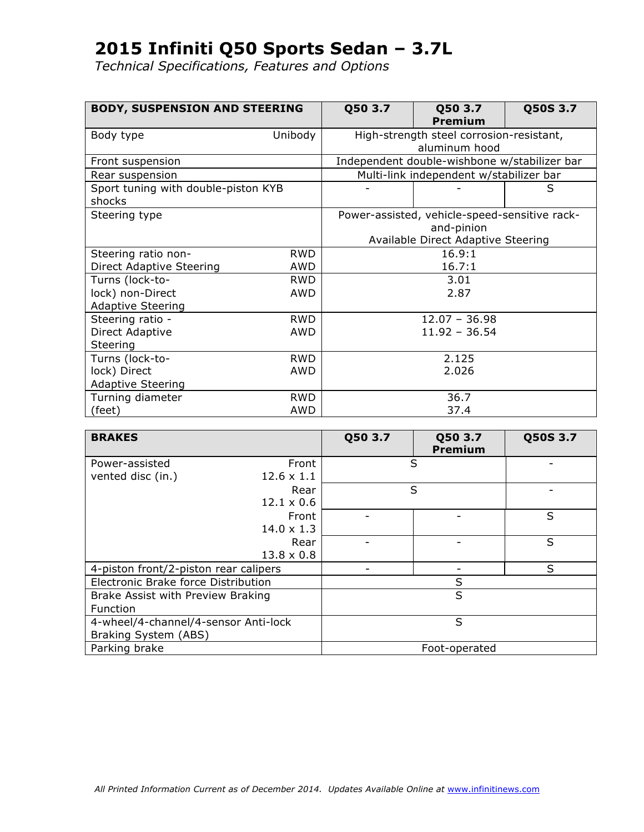| <b>BODY, SUSPENSION AND STEERING</b> |                        | Q50 3.7 | Q50 3.7                                       | Q50S 3.7 |
|--------------------------------------|------------------------|---------|-----------------------------------------------|----------|
|                                      |                        |         | Premium                                       |          |
| Body type                            | Unibody                |         | High-strength steel corrosion-resistant,      |          |
|                                      |                        |         | aluminum hood                                 |          |
| Front suspension                     |                        |         | Independent double-wishbone w/stabilizer bar  |          |
| Rear suspension                      |                        |         | Multi-link independent w/stabilizer bar       |          |
| Sport tuning with double-piston KYB  |                        |         |                                               | S        |
| shocks                               |                        |         |                                               |          |
| Steering type                        |                        |         | Power-assisted, vehicle-speed-sensitive rack- |          |
|                                      |                        |         | and-pinion                                    |          |
|                                      |                        |         | Available Direct Adaptive Steering            |          |
| Steering ratio non-                  | <b>RWD</b>             |         | 16.9:1                                        |          |
| Direct Adaptive Steering             | <b>AWD</b>             |         | 16.7:1                                        |          |
| Turns (lock-to-                      | <b>RWD</b>             |         | 3.01                                          |          |
| lock) non-Direct                     | AWD                    |         | 2.87                                          |          |
| <b>Adaptive Steering</b>             |                        |         |                                               |          |
| Steering ratio -                     | <b>RWD</b>             |         | $12.07 - 36.98$                               |          |
| Direct Adaptive                      | $11.92 - 36.54$<br>AWD |         |                                               |          |
| Steering                             |                        |         |                                               |          |
| Turns (lock-to-                      | <b>RWD</b>             |         | 2.125                                         |          |
| lock) Direct                         | AWD                    | 2.026   |                                               |          |
| <b>Adaptive Steering</b>             |                        |         |                                               |          |
| Turning diameter                     | <b>RWD</b>             |         | 36.7                                          |          |
| (feet)                               | AWD                    |         | 37.4                                          |          |

| <b>BRAKES</b>                         |                   | Q50 3.7 | Q50 3.7<br><b>Premium</b> | Q50S 3.7 |
|---------------------------------------|-------------------|---------|---------------------------|----------|
| Power-assisted                        | Front             |         | S                         |          |
| vented disc (in.)                     | $12.6 \times 1.1$ |         |                           |          |
|                                       | Rear              |         | S                         |          |
|                                       | $12.1 \times 0.6$ |         |                           |          |
|                                       | Front             |         |                           | S        |
|                                       | $14.0 \times 1.3$ |         |                           |          |
|                                       | Rear              |         |                           | S        |
|                                       | $13.8 \times 0.8$ |         |                           |          |
| 4-piston front/2-piston rear calipers |                   |         |                           | S        |
| Electronic Brake force Distribution   |                   |         | S                         |          |
| Brake Assist with Preview Braking     |                   |         | S                         |          |
| Function                              |                   |         |                           |          |
| 4-wheel/4-channel/4-sensor Anti-lock  |                   |         | S                         |          |
| Braking System (ABS)                  |                   |         |                           |          |
| Parking brake                         |                   |         | Foot-operated             |          |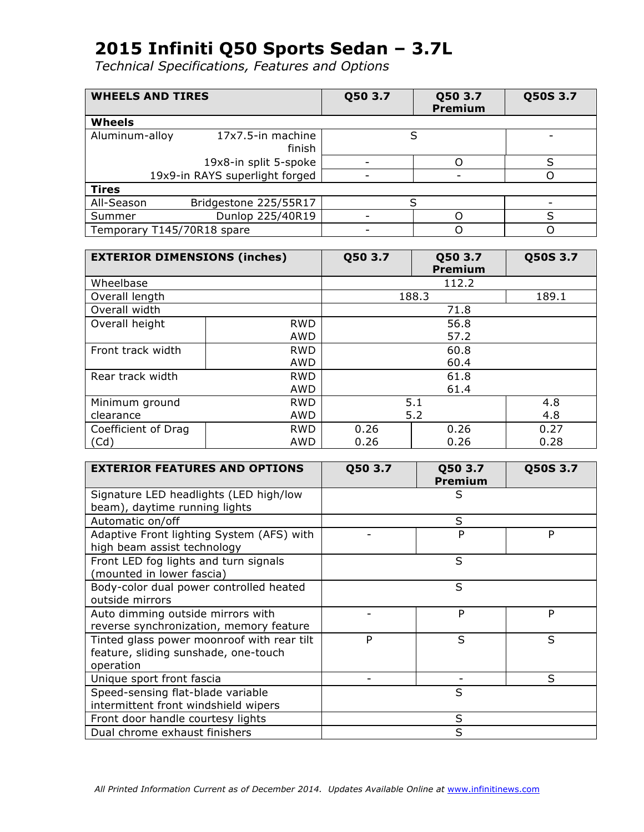| <b>WHEELS AND TIRES</b>        |                             | Q50 3.7 | Q50 3.7<br>Premium | Q50S 3.7 |
|--------------------------------|-----------------------------|---------|--------------------|----------|
| <b>Wheels</b>                  |                             |         |                    |          |
| Aluminum-alloy                 | 17x7.5-in machine<br>finish |         | S                  |          |
|                                | 19x8-in split 5-spoke       |         |                    | ς        |
| 19x9-in RAYS superlight forged |                             |         |                    |          |
| <b>Tires</b>                   |                             |         |                    |          |
| All-Season                     | Bridgestone 225/55R17       | S       |                    |          |
| Summer                         | Dunlop 225/40R19            |         |                    | ς        |
| Temporary T145/70R18 spare     |                             |         |                    |          |

| <b>EXTERIOR DIMENSIONS (inches)</b> |            | Q50 3.7    | Q50 3.7<br>Premium | Q50S 3.7 |
|-------------------------------------|------------|------------|--------------------|----------|
| Wheelbase                           |            |            | 112.2              |          |
| Overall length                      |            |            | 188.3              | 189.1    |
| Overall width                       |            |            | 71.8               |          |
| Overall height                      | <b>RWD</b> |            | 56.8               |          |
|                                     | AWD        |            | 57.2               |          |
| Front track width                   | <b>RWD</b> | 60.8       |                    |          |
|                                     | <b>AWD</b> |            | 60.4               |          |
| Rear track width                    | <b>RWD</b> | 61.8       |                    |          |
|                                     | <b>AWD</b> | 61.4       |                    |          |
| Minimum ground                      | <b>RWD</b> | 5.1<br>4.8 |                    |          |
| clearance                           | AWD        | 5.2<br>4.8 |                    |          |
| Coefficient of Drag                 | <b>RWD</b> | 0.26       | 0.26               | 0.27     |
| (Cd)                                | AWD        | 0.26       | 0.26               | 0.28     |

| <b>EXTERIOR FEATURES AND OPTIONS</b>       | Q50 3.7 | Q50 3.7<br><b>Premium</b> | Q50S 3.7 |
|--------------------------------------------|---------|---------------------------|----------|
| Signature LED headlights (LED high/low     |         | S                         |          |
| beam), daytime running lights              |         |                           |          |
| Automatic on/off                           |         | S                         |          |
| Adaptive Front lighting System (AFS) with  |         | P                         | P        |
| high beam assist technology                |         |                           |          |
| Front LED fog lights and turn signals      |         | S                         |          |
| (mounted in lower fascia)                  |         |                           |          |
| Body-color dual power controlled heated    |         | S                         |          |
| outside mirrors                            |         |                           |          |
| Auto dimming outside mirrors with          |         | P                         | P        |
| reverse synchronization, memory feature    |         |                           |          |
| Tinted glass power moonroof with rear tilt | P       | S                         | S        |
| feature, sliding sunshade, one-touch       |         |                           |          |
| operation                                  |         |                           |          |
| Unique sport front fascia                  |         |                           | S        |
| Speed-sensing flat-blade variable          |         | S                         |          |
| intermittent front windshield wipers       |         |                           |          |
| Front door handle courtesy lights          |         | S                         |          |
| Dual chrome exhaust finishers              |         | S                         |          |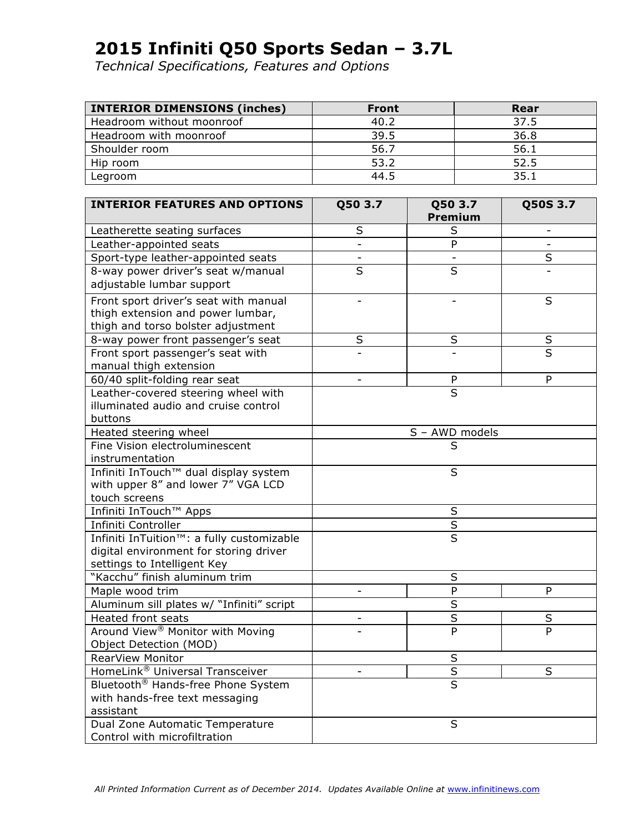| <b>INTERIOR DIMENSIONS (inches)</b> | <b>Front</b> | Rear |
|-------------------------------------|--------------|------|
| Headroom without moonroof           | 40.2         | 37.5 |
| Headroom with moonroof              | 39.5         | 36.8 |
| Shoulder room                       | 56.7         | 56.1 |
| Hip room                            | 53.2         | 52.5 |
| Legroom                             | 44.5         | 35.1 |

| <b>INTERIOR FEATURES AND OPTIONS</b>                   | Q50 3.7                  | Q50 3.7<br>Premium      | Q50S 3.7 |
|--------------------------------------------------------|--------------------------|-------------------------|----------|
| Leatherette seating surfaces                           | S                        | S                       |          |
| Leather-appointed seats                                |                          | P                       |          |
| Sport-type leather-appointed seats                     | $\overline{\phantom{a}}$ | $\blacksquare$          | S        |
| 8-way power driver's seat w/manual                     | $\overline{\mathsf{s}}$  | $\overline{\mathsf{s}}$ |          |
| adjustable lumbar support                              |                          |                         |          |
| Front sport driver's seat with manual                  | $\overline{a}$           |                         | $\sf S$  |
| thigh extension and power lumbar,                      |                          |                         |          |
| thigh and torso bolster adjustment                     |                          |                         |          |
| 8-way power front passenger's seat                     | S                        | $\sf S$                 | $\sf S$  |
| Front sport passenger's seat with                      |                          |                         | S        |
| manual thigh extension                                 |                          |                         |          |
| 60/40 split-folding rear seat                          | $\overline{\phantom{0}}$ | ${\sf P}$               | P        |
| Leather-covered steering wheel with                    |                          | $\overline{\mathsf{s}}$ |          |
| illuminated audio and cruise control                   |                          |                         |          |
| buttons                                                |                          |                         |          |
| Heated steering wheel                                  |                          | S - AWD models          |          |
| Fine Vision electroluminescent                         |                          | $\overline{\mathsf{s}}$ |          |
| instrumentation                                        |                          |                         |          |
| Infiniti InTouch™ dual display system                  |                          | S                       |          |
| with upper 8" and lower 7" VGA LCD                     |                          |                         |          |
| touch screens                                          |                          |                         |          |
| Infiniti InTouch™ Apps                                 | S                        |                         |          |
| Infiniti Controller                                    |                          | $\overline{\mathsf{S}}$ |          |
| Infiniti InTuition <sup>™</sup> : a fully customizable |                          | $\overline{\mathsf{s}}$ |          |
| digital environment for storing driver                 |                          |                         |          |
| settings to Intelligent Key                            |                          |                         |          |
| "Kacchu" finish aluminum trim                          |                          | S                       |          |
| Maple wood trim                                        |                          | P                       | P        |
| Aluminum sill plates w/ "Infiniti" script              |                          | $\overline{\mathsf{s}}$ |          |
| Heated front seats                                     |                          | $\overline{\mathsf{S}}$ | $\sf S$  |
| Around View <sup>®</sup> Monitor with Moving           |                          | P                       | P        |
| Object Detection (MOD)                                 |                          |                         |          |
| RearView Monitor                                       |                          | S                       |          |
| HomeLink <sup>®</sup> Universal Transceiver            |                          | $\overline{\mathsf{s}}$ | S        |
| Bluetooth <sup>®</sup> Hands-free Phone System         |                          | S                       |          |
| with hands-free text messaging                         |                          |                         |          |
| assistant                                              |                          |                         |          |
| Dual Zone Automatic Temperature                        |                          | S                       |          |
| Control with microfiltration                           |                          |                         |          |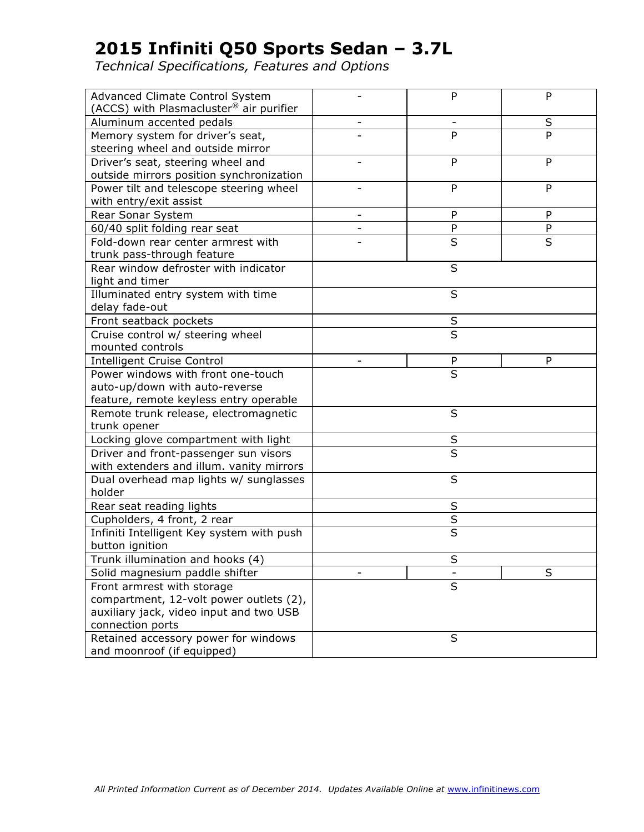| Advanced Climate Control System<br>(ACCS) with Plasmacluster <sup>®</sup> air purifier |                          | P                        | P            |
|----------------------------------------------------------------------------------------|--------------------------|--------------------------|--------------|
| Aluminum accented pedals                                                               | $\overline{\phantom{0}}$ | $\overline{\phantom{a}}$ | S            |
| Memory system for driver's seat,<br>steering wheel and outside mirror                  |                          | P                        | P            |
| Driver's seat, steering wheel and                                                      |                          | P                        | P            |
| outside mirrors position synchronization                                               |                          |                          |              |
| Power tilt and telescope steering wheel                                                |                          | P                        | P            |
| with entry/exit assist                                                                 |                          |                          |              |
| Rear Sonar System                                                                      | ۳                        | ${\sf P}$                | P            |
| 60/40 split folding rear seat                                                          |                          | $\mathsf{P}$             | $\mathsf{P}$ |
| Fold-down rear center armrest with                                                     |                          | S                        | S            |
| trunk pass-through feature                                                             |                          |                          |              |
| Rear window defroster with indicator<br>light and timer                                |                          | S                        |              |
| Illuminated entry system with time                                                     |                          | S                        |              |
| delay fade-out                                                                         |                          |                          |              |
| Front seatback pockets                                                                 |                          | $\sf S$                  |              |
| Cruise control w/ steering wheel                                                       |                          | S                        |              |
| mounted controls                                                                       |                          |                          |              |
| <b>Intelligent Cruise Control</b>                                                      |                          | P                        | P            |
| Power windows with front one-touch                                                     |                          | S                        |              |
| auto-up/down with auto-reverse                                                         |                          |                          |              |
| feature, remote keyless entry operable                                                 |                          |                          |              |
| Remote trunk release, electromagnetic                                                  |                          | S                        |              |
| trunk opener                                                                           |                          |                          |              |
| Locking glove compartment with light<br>S                                              |                          |                          |              |
| Driver and front-passenger sun visors                                                  | $\overline{\mathsf{s}}$  |                          |              |
| with extenders and illum. vanity mirrors                                               |                          |                          |              |
| Dual overhead map lights w/ sunglasses                                                 |                          | S                        |              |
| holder                                                                                 |                          |                          |              |
| Rear seat reading lights                                                               |                          | S                        |              |
| Cupholders, 4 front, 2 rear                                                            |                          | $\sf S$                  |              |
| Infiniti Intelligent Key system with push                                              | S                        |                          |              |
| button ignition                                                                        |                          |                          |              |
| Trunk illumination and hooks (4)                                                       |                          | $\sf S$                  |              |
| Solid magnesium paddle shifter                                                         | S                        |                          |              |
| S<br>Front armrest with storage                                                        |                          |                          |              |
| compartment, 12-volt power outlets (2),                                                |                          |                          |              |
| auxiliary jack, video input and two USB                                                |                          |                          |              |
| connection ports                                                                       |                          |                          |              |
| Retained accessory power for windows                                                   |                          | S                        |              |
| and moonroof (if equipped)                                                             |                          |                          |              |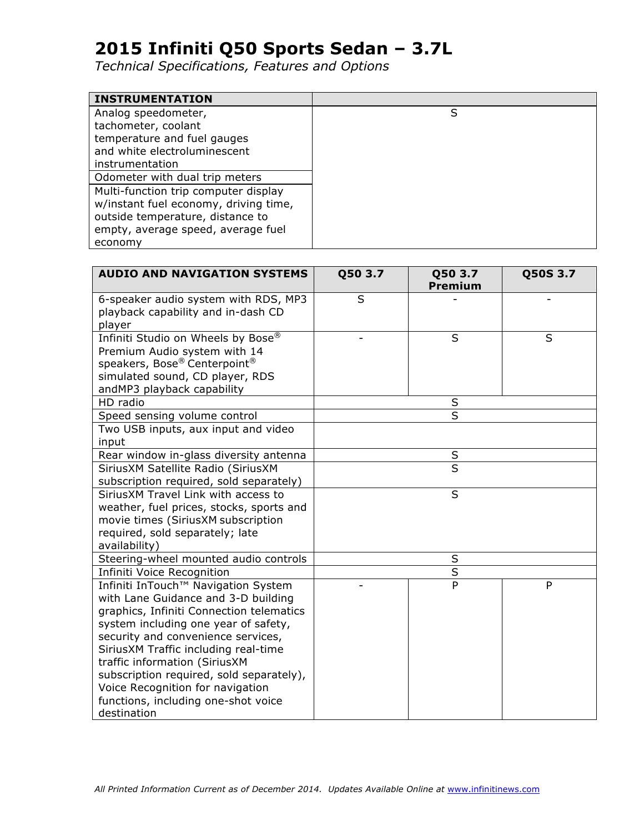| <b>INSTRUMENTATION</b>                |   |
|---------------------------------------|---|
| Analog speedometer,                   | S |
| tachometer, coolant                   |   |
| temperature and fuel gauges           |   |
| and white electroluminescent          |   |
| instrumentation                       |   |
| Odometer with dual trip meters        |   |
| Multi-function trip computer display  |   |
| w/instant fuel economy, driving time, |   |
| outside temperature, distance to      |   |
| empty, average speed, average fuel    |   |
| economy                               |   |

| <b>AUDIO AND NAVIGATION SYSTEMS</b>      | Q50 3.7<br>Q50 3.7 |                         | Q50S 3.7 |
|------------------------------------------|--------------------|-------------------------|----------|
|                                          |                    | <b>Premium</b>          |          |
| 6-speaker audio system with RDS, MP3     | S                  |                         |          |
| playback capability and in-dash CD       |                    |                         |          |
| player                                   |                    |                         |          |
| Infiniti Studio on Wheels by Bose®       |                    | S                       | S        |
| Premium Audio system with 14             |                    |                         |          |
| speakers, Bose® Centerpoint®             |                    |                         |          |
| simulated sound, CD player, RDS          |                    |                         |          |
| andMP3 playback capability               |                    |                         |          |
| HD radio                                 |                    | $\sf S$                 |          |
| Speed sensing volume control             |                    | S                       |          |
| Two USB inputs, aux input and video      |                    |                         |          |
| input                                    |                    |                         |          |
| Rear window in-glass diversity antenna   |                    | $\sf S$                 |          |
| SiriusXM Satellite Radio (SiriusXM       |                    | $\overline{\mathsf{s}}$ |          |
| subscription required, sold separately)  |                    |                         |          |
| SiriusXM Travel Link with access to      |                    | S                       |          |
| weather, fuel prices, stocks, sports and |                    |                         |          |
| movie times (SiriusXM subscription       |                    |                         |          |
| required, sold separately; late          |                    |                         |          |
| availability)                            |                    |                         |          |
| Steering-wheel mounted audio controls    |                    | $\sf S$                 |          |
| Infiniti Voice Recognition               |                    | $\overline{\mathsf{s}}$ |          |
| Infiniti InTouch™ Navigation System      |                    | P                       | P        |
| with Lane Guidance and 3-D building      |                    |                         |          |
| graphics, Infiniti Connection telematics |                    |                         |          |
| system including one year of safety,     |                    |                         |          |
| security and convenience services,       |                    |                         |          |
| SiriusXM Traffic including real-time     |                    |                         |          |
| traffic information (SiriusXM            |                    |                         |          |
| subscription required, sold separately), |                    |                         |          |
| Voice Recognition for navigation         |                    |                         |          |
| functions, including one-shot voice      |                    |                         |          |
| destination                              |                    |                         |          |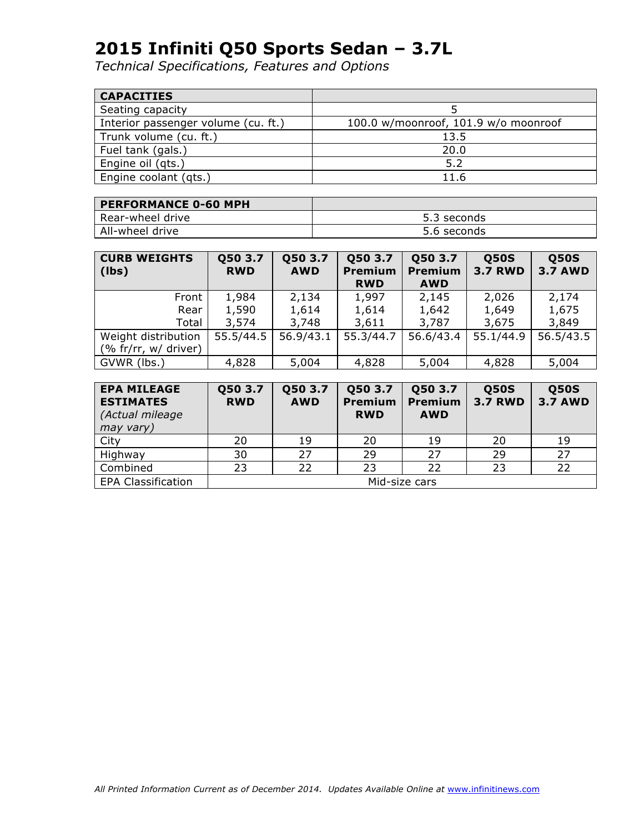| <b>CAPACITIES</b>                   |                                      |
|-------------------------------------|--------------------------------------|
| Seating capacity                    |                                      |
| Interior passenger volume (cu. ft.) | 100.0 w/moonroof, 101.9 w/o moonroof |
| Trunk volume (cu. ft.)              | 13.5                                 |
| Fuel tank (gals.)                   | 20.0                                 |
| Engine oil (qts.)                   | 5.2                                  |
| Engine coolant (gts.)               | 11.6                                 |

| <b>PERFORMANCE 0-60 MPH</b> |             |
|-----------------------------|-------------|
| l Rear-wheel drive          | 5.3 seconds |
| All-wheel drive             | 5.6 seconds |

| <b>CURB WEIGHTS</b><br>$ $ (lbs) | Q50 3.7<br><b>RWD</b> | Q50 3.7<br><b>AWD</b> | Q50 3.7<br><b>Premium</b><br><b>RWD</b> | Q50 3.7<br>Premium<br><b>AWD</b> | <b>Q50S</b><br><b>3.7 RWD</b> | <b>Q50S</b><br><b>3.7 AWD</b> |
|----------------------------------|-----------------------|-----------------------|-----------------------------------------|----------------------------------|-------------------------------|-------------------------------|
| Front                            | 1,984                 | 2,134                 | 1,997                                   | 2,145                            | 2,026                         | 2,174                         |
| Rear                             | 1,590                 | 1,614                 | 1,614                                   | 1,642                            | 1,649                         | 1,675                         |
| Total                            | 3,574                 | 3,748                 | 3,611                                   | 3,787                            | 3,675                         | 3,849                         |
| Weight distribution              | 55.5/44.5             | 56.9/43.1             | 55.3/44.7                               | 56.6/43.4                        | 55.1/44.9                     | 56.5/43.5                     |
| (% fr/rr, $w/$ driver)           |                       |                       |                                         |                                  |                               |                               |
| GVWR (lbs.)                      | 4,828                 | 5,004                 | 4,828                                   | 5,004                            | 4,828                         | 5,004                         |

| <b>EPA MILEAGE</b><br><b>ESTIMATES</b><br>(Actual mileage<br>may vary) | Q50 3.7<br><b>RWD</b> | Q50 3.7<br><b>AWD</b> | Q50 3.7<br><b>Premium</b><br><b>RWD</b> | Q50 3.7<br>Premium<br><b>AWD</b> | <b>Q50S</b><br><b>3.7 RWD</b> | <b>Q50S</b><br><b>3.7 AWD</b> |
|------------------------------------------------------------------------|-----------------------|-----------------------|-----------------------------------------|----------------------------------|-------------------------------|-------------------------------|
| City                                                                   | 20                    | 19                    | 20                                      | 19                               | 20                            | 19                            |
| Highway                                                                | 30                    | 27                    | 29                                      | 27                               | 29                            | 27                            |
| Combined                                                               | 23                    | 22                    | 23                                      | 22                               | 23                            | 22                            |
| <b>EPA Classification</b>                                              | Mid-size cars         |                       |                                         |                                  |                               |                               |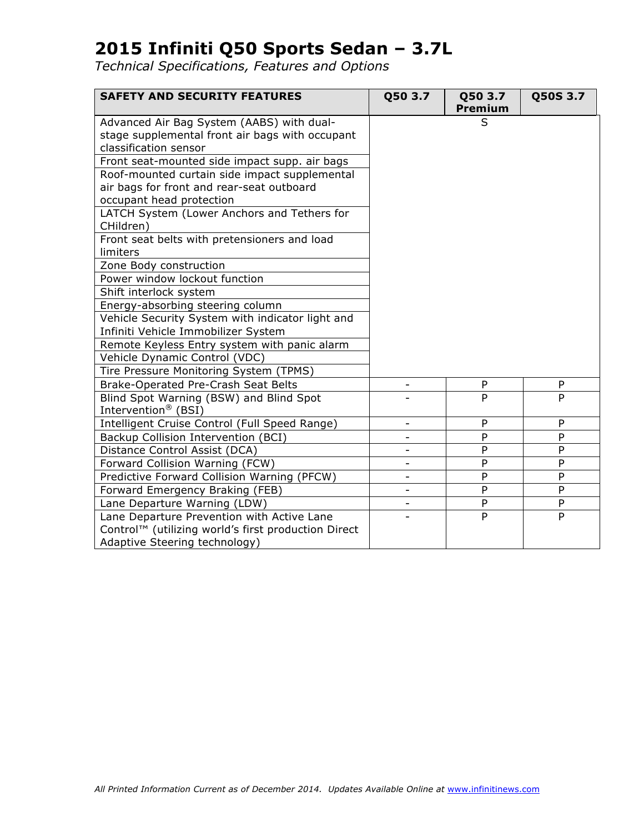| <b>SAFETY AND SECURITY FEATURES</b>                      | Q50 3.7                  | Q50 3.7<br><b>Premium</b> | Q50S 3.7       |
|----------------------------------------------------------|--------------------------|---------------------------|----------------|
| Advanced Air Bag System (AABS) with dual-                |                          | S                         |                |
| stage supplemental front air bags with occupant          |                          |                           |                |
| classification sensor                                    |                          |                           |                |
| Front seat-mounted side impact supp. air bags            |                          |                           |                |
| Roof-mounted curtain side impact supplemental            |                          |                           |                |
| air bags for front and rear-seat outboard                |                          |                           |                |
| occupant head protection                                 |                          |                           |                |
| LATCH System (Lower Anchors and Tethers for<br>CHildren) |                          |                           |                |
| Front seat belts with pretensioners and load             |                          |                           |                |
| limiters                                                 |                          |                           |                |
| Zone Body construction                                   |                          |                           |                |
| Power window lockout function                            |                          |                           |                |
| Shift interlock system                                   |                          |                           |                |
| Energy-absorbing steering column                         |                          |                           |                |
| Vehicle Security System with indicator light and         |                          |                           |                |
| Infiniti Vehicle Immobilizer System                      |                          |                           |                |
| Remote Keyless Entry system with panic alarm             |                          |                           |                |
| Vehicle Dynamic Control (VDC)                            |                          |                           |                |
| Tire Pressure Monitoring System (TPMS)                   |                          |                           |                |
| Brake-Operated Pre-Crash Seat Belts                      |                          | P                         | P              |
| Blind Spot Warning (BSW) and Blind Spot                  |                          | P                         | P              |
| Intervention <sup>®</sup> (BSI)                          |                          |                           |                |
| Intelligent Cruise Control (Full Speed Range)            | $\overline{\phantom{0}}$ | ${\sf P}$                 | P              |
| Backup Collision Intervention (BCI)                      | -                        | P                         | P              |
| Distance Control Assist (DCA)                            | $\overline{\phantom{0}}$ | P                         | P              |
| Forward Collision Warning (FCW)                          |                          | P                         | P              |
| Predictive Forward Collision Warning (PFCW)              |                          | P                         | P              |
| Forward Emergency Braking (FEB)                          |                          | P                         | P              |
| Lane Departure Warning (LDW)                             |                          | P                         | $\overline{P}$ |
| Lane Departure Prevention with Active Lane               |                          | P                         | P              |
| Control™ (utilizing world's first production Direct      |                          |                           |                |
| Adaptive Steering technology)                            |                          |                           |                |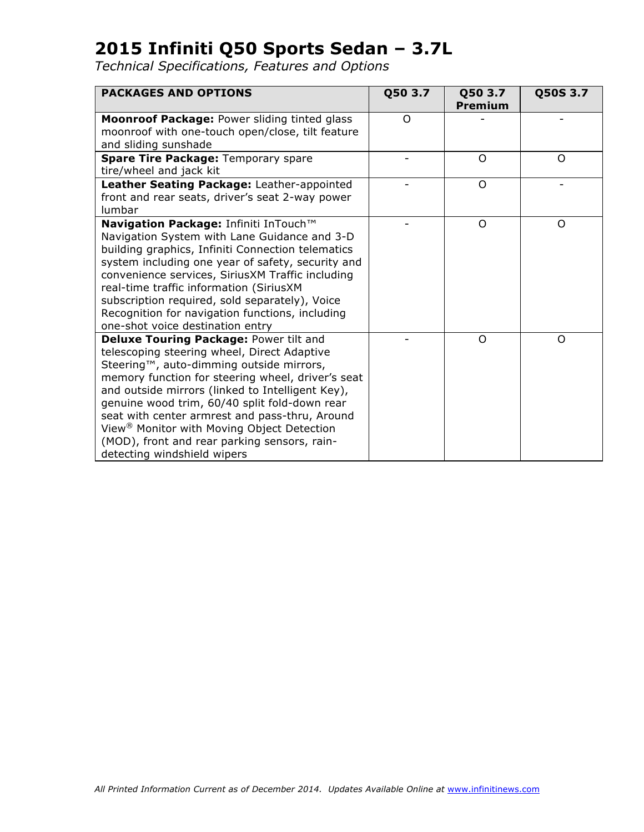| <b>PACKAGES AND OPTIONS</b>                                                                                                                                                                                                                                                                                                                                                                                                                                                            | Q50 3.7 | Q50 3.7<br><b>Premium</b> | Q50S 3.7 |
|----------------------------------------------------------------------------------------------------------------------------------------------------------------------------------------------------------------------------------------------------------------------------------------------------------------------------------------------------------------------------------------------------------------------------------------------------------------------------------------|---------|---------------------------|----------|
| Moonroof Package: Power sliding tinted glass<br>moonroof with one-touch open/close, tilt feature<br>and sliding sunshade                                                                                                                                                                                                                                                                                                                                                               | O       |                           |          |
| <b>Spare Tire Package: Temporary spare</b><br>tire/wheel and jack kit                                                                                                                                                                                                                                                                                                                                                                                                                  |         | $\Omega$                  | $\Omega$ |
| Leather Seating Package: Leather-appointed<br>front and rear seats, driver's seat 2-way power<br>lumbar                                                                                                                                                                                                                                                                                                                                                                                |         | $\circ$                   |          |
| Navigation Package: Infiniti InTouch™<br>Navigation System with Lane Guidance and 3-D<br>building graphics, Infiniti Connection telematics<br>system including one year of safety, security and<br>convenience services, SiriusXM Traffic including<br>real-time traffic information (SiriusXM<br>subscription required, sold separately), Voice<br>Recognition for navigation functions, including<br>one-shot voice destination entry                                                |         | $\Omega$                  | $\Omega$ |
| Deluxe Touring Package: Power tilt and<br>telescoping steering wheel, Direct Adaptive<br>Steering™, auto-dimming outside mirrors,<br>memory function for steering wheel, driver's seat<br>and outside mirrors (linked to Intelligent Key),<br>genuine wood trim, 60/40 split fold-down rear<br>seat with center armrest and pass-thru, Around<br>View <sup>®</sup> Monitor with Moving Object Detection<br>(MOD), front and rear parking sensors, rain-<br>detecting windshield wipers |         | O                         | O        |